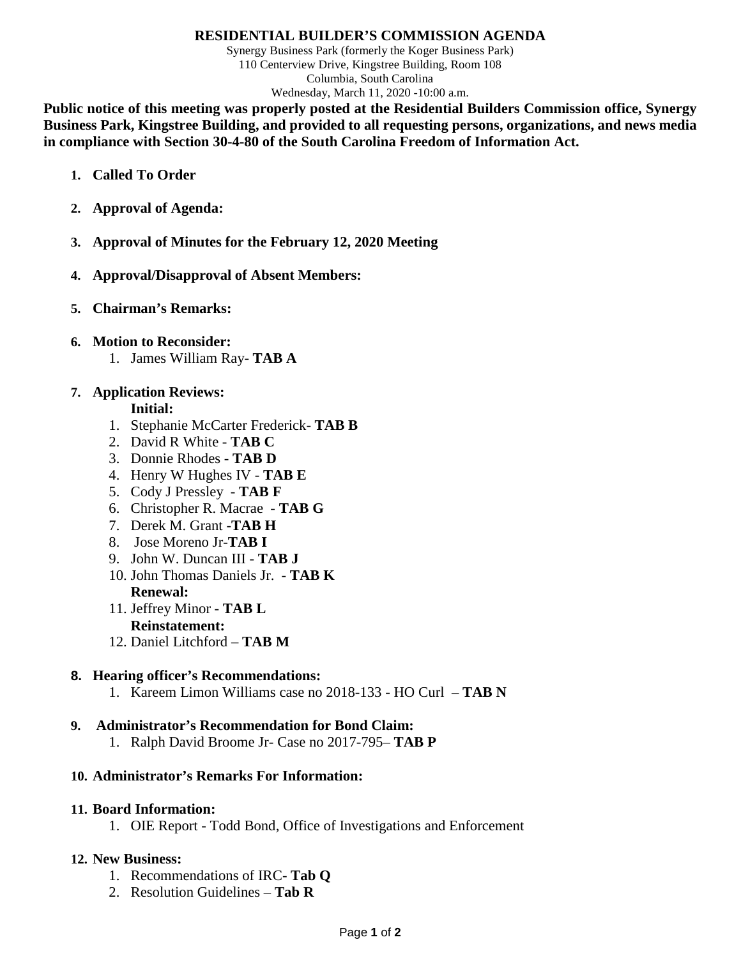#### **RESIDENTIAL BUILDER'S COMMISSION AGENDA**

Synergy Business Park (formerly the Koger Business Park) 110 Centerview Drive, Kingstree Building, Room 108 Columbia, South Carolina Wednesday, March 11, 2020 -10:00 a.m.

**Public notice of this meeting was properly posted at the Residential Builders Commission office, Synergy Business Park, Kingstree Building, and provided to all requesting persons, organizations, and news media in compliance with Section 30-4-80 of the South Carolina Freedom of Information Act.**

- **1. Called To Order**
- **2. Approval of Agenda:**
- **3. Approval of Minutes for the February 12, 2020 Meeting**
- **4. Approval/Disapproval of Absent Members:**
- **5. Chairman's Remarks:**
- **6. Motion to Reconsider:**
	- 1. James William Ray**- TAB A**

## **7. Application Reviews:**

#### **Initial:**

- 1. Stephanie McCarter Frederick- **TAB B**
- 2. David R White **TAB C**
- 3. Donnie Rhodes **TAB D**
- 4. Henry W Hughes IV **TAB E**
- 5. Cody J Pressley **TAB F**
- 6. Christopher R. Macrae **TAB G**
- 7. Derek M. Grant -**TAB H**
- 8. Jose Moreno Jr-**TAB I**
- 9. John W. Duncan III **TAB J**
- 10. John Thomas Daniels Jr. **TAB K Renewal:**
- 11. Jeffrey Minor **TAB L Reinstatement:**
- 12. Daniel Litchford **TAB M**

### **8. Hearing officer's Recommendations:**

1. Kareem Limon Williams case no 2018-133 - HO Curl – **TAB N**

### **9. Administrator's Recommendation for Bond Claim:**

1. Ralph David Broome Jr- Case no 2017-795– **TAB P**

### **10. Administrator's Remarks For Information:**

#### **11. Board Information:**

1. OIE Report - Todd Bond, Office of Investigations and Enforcement

### **12. New Business:**

- 1. Recommendations of IRC- **Tab Q**
- 2. Resolution Guidelines **Tab R**